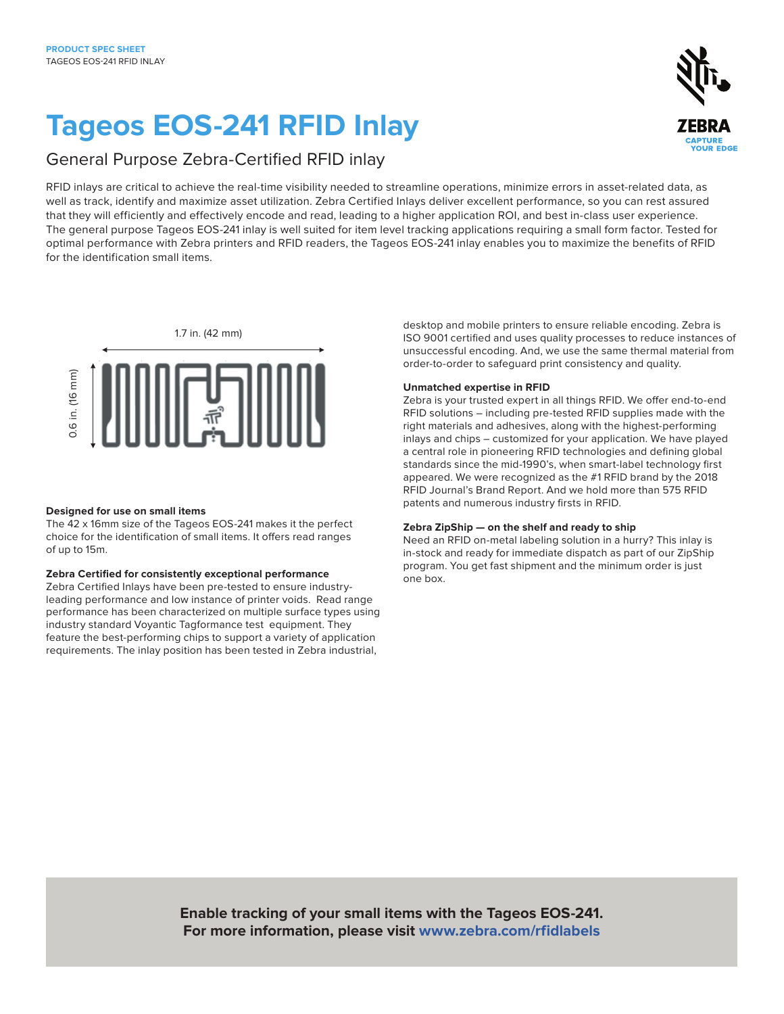# **Tageos EOS-241 RFID Inlay**

# General Purpose Zebra-Certified RFID inlay

RFID inlays are critical to achieve the real-time visibility needed to streamline operations, minimize errors in asset-related data, as well as track, identify and maximize asset utilization. Zebra Certified Inlays deliver excellent performance, so you can rest assured that they will efficiently and effectively encode and read, leading to a higher application ROI, and best in-class user experience. The general purpose Tageos EOS-241 inlay is well suited for item level tracking applications requiring a small form factor. Tested for optimal performance with Zebra printers and RFID readers, the Tageos EOS-241 inlay enables you to maximize the benefits of RFID for the identification small items.



# **Designed for use on small items**

The 42 x 16mm size of the Tageos EOS-241 makes it the perfect choice for the identification of small items. It offers read ranges of up to 15m.

# **Zebra Certified for consistently exceptional performance**

Zebra Certified Inlays have been pre-tested to ensure industryleading performance and low instance of printer voids. Read range performance has been characterized on multiple surface types using industry standard Voyantic Tagformance test equipment. They feature the best-performing chips to support a variety of application requirements. The inlay position has been tested in Zebra industrial,

desktop and mobile printers to ensure reliable encoding. Zebra is ISO 9001 certified and uses quality processes to reduce instances of unsuccessful encoding. And, we use the same thermal material from order-to-order to safeguard print consistency and quality.

# **Unmatched expertise in RFID**

Zebra is your trusted expert in all things RFID. We offer end-to-end RFID solutions – including pre-tested RFID supplies made with the right materials and adhesives, along with the highest-performing inlays and chips – customized for your application. We have played a central role in pioneering RFID technologies and defining global standards since the mid-1990's, when smart-label technology first appeared. We were recognized as the #1 RFID brand by the 2018 RFID Journal's Brand Report. And we hold more than 575 RFID patents and numerous industry firsts in RFID.

# **Zebra ZipShip — on the shelf and ready to ship**

Need an RFID on-metal labeling solution in a hurry? This inlay is in-stock and ready for immediate dispatch as part of our ZipShip program. You get fast shipment and the minimum order is just one box.

**Enable tracking of your small items with the Tageos EOS-241. For more information, please visit [www.zebra.com/rfidlabels](https://www.zebra.com/us/en/products/supplies/rfid-labels-tags.html)**